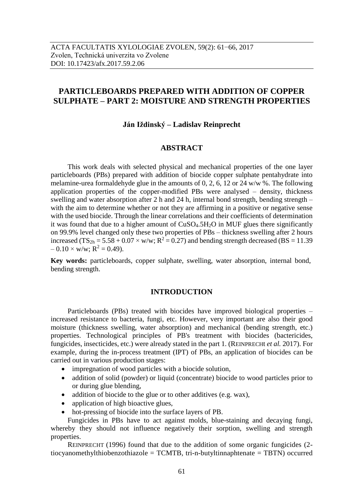# **PARTICLEBOARDS PREPARED WITH ADDITION OF COPPER SULPHATE – PART 2: MOISTURE AND STRENGTH PROPERTIES**

#### **Ján Iždinský – Ladislav Reinprecht**

# **ABSTRACT**

This work deals with selected physical and mechanical properties of the one layer particleboards (PBs) prepared with addition of biocide copper sulphate pentahydrate into melamine-urea formaldehyde glue in the amounts of 0, 2, 6, 12 or 24 w/w %. The following application properties of the copper-modified PBs were analysed – density, thickness swelling and water absorption after 2 h and 24 h, internal bond strength, bending strength – with the aim to determine whether or not they are affirming in a positive or negative sense with the used biocide. Through the linear correlations and their coefficients of determination it was found that due to a higher amount of CuSO<sub>4</sub>.5H<sub>2</sub>O in MUF glues there significantly on 99.9% level changed only these two properties of PBs – thickness swelling after 2 hours increased (TS<sub>2h</sub> = 5.58 + 0.07 × w/w; R<sup>2</sup> = 0.27) and bending strength decreased (BS = 11.39)  $-0.10 \times w/w$ ; R<sup>2</sup> = 0.49).

**Key words:** particleboards, copper sulphate, swelling, water absorption, internal bond, bending strength.

#### **INTRODUCTION**

Particleboards (PBs) treated with biocides have improved biological properties – increased resistance to bacteria, fungi, etc. However, very important are also their good moisture (thickness swelling, water absorption) and mechanical (bending strength, etc.) properties. Technological principles of PB's treatment with biocides (bactericides, fungicides, insecticides, etc.) were already stated in the part 1. (REINPRECHt *et al.* 2017). For example, during the in-process treatment (IPT) of PBs, an application of biocides can be carried out in various production stages:

- impregnation of wood particles with a biocide solution,
- addition of solid (powder) or liquid (concentrate) biocide to wood particles prior to or during glue blending,
- addition of biocide to the glue or to other additives (e.g. wax),
- application of high bioactive glues,
- hot-pressing of biocide into the surface layers of PB.

Fungicides in PBs have to act against molds, blue-staining and decaying fungi, whereby they should not influence negatively their sorption, swelling and strength properties.

REINPRECHT (1996) found that due to the addition of some organic fungicides (2 tiocyanomethylthiobenzothiazole =  $TCMTB$ , tri-n-butyltinnaphtenate =  $TBTN$ ) occurred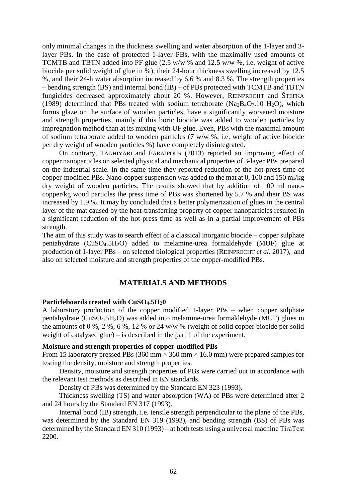only minimal changes in the thickness swelling and water absorption of the 1-layer and 3 layer PBs. In the case of protected 1-layer PBs, with the maximally used amounts of TCMTB and TBTN added into PF glue (2.5 w/w % and 12.5 w/w %, i.e. weight of active biocide per solid weight of glue in %), their 24-hour thickness swelling increased by 12.5 %, and their 24-h water absorption increased by 6.6 % and 8.3 %. The strength properties – bending strength (BS) and internal bond (IB) – of PBs protected with TCMTB and TBTN fungicides decreased approximately about 20 %. However, REINPRECHT and ŠTEFKA (1989) determined that PBs treated with sodium tetraborate ( $Na<sub>2</sub>B<sub>4</sub>O<sub>7</sub>$ .10 H<sub>2</sub>O), which forms glaze on the surface of wooden particles, have a significantly worsened moisture and strength properties, mainly if this boric biocide was added to wooden particles by impregnation method than at its mixing with UF glue. Even, PBs with the maximal amount of sodium tetraborate added to wooden particles (7 w/w %, i.e. weight of active biocide per dry weight of wooden particles %) have completely disintegrated.

On contrary, TAGHIYARI and FARAJPOUR (2013) reported an improving effect of copper nanoparticles on selected physical and mechanical properties of 3-layer PBs prepared on the industrial scale. In the same time they reported reduction of the hot-press time of copper-modified PBs. Nano-copper suspension was added to the mat at 0, 100 and 150 ml/kg dry weight of wooden particles. The results showed that by addition of 100 ml nanocopper/kg wood particles the press time of PBs was shortened by 5.7 % and their BS was increased by 1.9 %. It may by concluded that a better polymerization of glues in the central layer of the mat caused by the heat-transferring property of copper nanoparticles resulted in a significant reduction of the hot-press time as well as in a partial improvement of PBs strength.

The aim of this study was to search effect of a classical inorganic biocide – copper sulphate pentahydrate (CuSO4.5H2O) added to melamine-urea formaldehyde (MUF) glue at production of 1-layer PBs – on selected biological properties (REINPRECHT *et al.* 2017), and also on selected moisture and strength properties of the copper-modified PBs.

### **MATERIALS AND METHODS**

#### **Particleboards treated with CuSO4.5H20**

A laboratory production of the copper modified 1-layer PBs – when copper sulphate pentahydrate (CuSO4.5H2O) was added into melamine-urea formaldehyde (MUF) glues in the amounts of 0 %, 2 %, 6 %, 12 % or 24 w/w % (weight of solid copper biocide per solid weight of catalysed glue) – is described in the part 1 of the experiment.

#### **Moisture and strength properties of copper-modified PBs**

From 15 laboratory pressed PBs (360 mm  $\times$  360 mm  $\times$  16.0 mm) were prepared samples for testing the density, moisture and strength properties.

Density, moisture and strength properties of PBs were carried out in accordance with the relevant test methods as described in EN standards.

Density of PBs was determined by the Standard EN 323 (1993).

Thickness swelling (TS) and water absorption (WA) of PBs were determined after 2 and 24 hours by the Standard EN 317 (1993).

Internal bond (IB) strength, i.e. tensile strength perpendicular to the plane of the PBs, was determined by the Standard EN 319 (1993), and bending strength (BS) of PBs was determined by the Standard EN 310 (1993) – at both tests using a universal machine TiraTest 2200.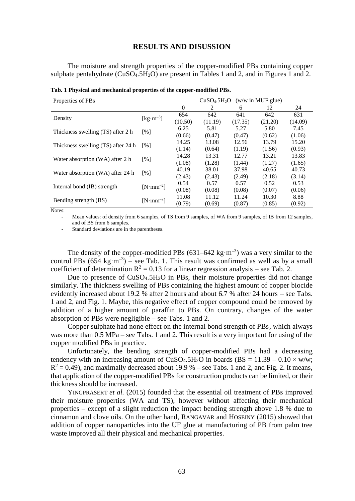#### **RESULTS AND DISUSSION**

The moisture and strength properties of the copper-modified PBs containing copper sulphate pentahydrate (CuSO<sub>4</sub>.5H<sub>2</sub>O) are present in Tables 1 and 2, and in Figures 1 and 2.

| Properties of PBs                  | CuSO <sub>4</sub> .5H <sub>2</sub> O<br>$(w/w \in MUF)$ glue) |          |         |         |         |         |  |
|------------------------------------|---------------------------------------------------------------|----------|---------|---------|---------|---------|--|
|                                    |                                                               | $\theta$ | 2       | 6       | 12      | 24      |  |
|                                    | $\left[\text{kg}\cdot\text{m}^{-3}\right]$                    | 654      | 642     | 641     | 642     | 631     |  |
| Density                            |                                                               | (10.50)  | (11.19) | (17.35) | (21.20) | (14.09) |  |
| Thickness swelling (TS) after 2 h  | [%]                                                           | 6.25     | 5.81    | 5.27    | 5.80    | 7.45    |  |
|                                    |                                                               | (0.66)   | (0.47)  | (0.47)  | (0.62)  | (1.06)  |  |
| Thickness swelling (TS) after 24 h | $\lceil \% \rceil$                                            | 14.25    | 13.08   | 12.56   | 13.79   | 15.20   |  |
|                                    |                                                               | (1.14)   | (0.64)  | (1.19)  | (1.56)  | (0.93)  |  |
| Water absorption (WA) after 2 h    | [%]                                                           | 14.28    | 13.31   | 12.77   | 13.21   | 13.83   |  |
|                                    |                                                               | (1.08)   | (1.28)  | (1.44)  | (1.27)  | (1.65)  |  |
|                                    | $\lceil \sqrt{9} \rceil$                                      | 40.19    | 38.01   | 37.98   | 40.65   | 40.73   |  |
| Water absorption (WA) after 24 h   |                                                               | (2.43)   | (2.43)  | (2.49)  | (2.18)  | (3.14)  |  |
|                                    | $[N \cdot mm^{-2}]$                                           | 0.54     | 0.57    | 0.57    | 0.52    | 0.53    |  |
| Internal bond (IB) strength        |                                                               | (0.08)   | (0.08)  | (0.08)  | (0.07)  | (0.06)  |  |
|                                    | $[N \cdot mm^{-2}]$                                           | 11.08    | 11.12   | 11.24   | 10.30   | 8.88    |  |
| Bending strength (BS)              |                                                               | (0.79)   | (0.69)  | (0.87)  | (0.85)  | (0.92)  |  |

**Tab. 1 Physical and mechanical properties of the copper-modified PBs.**

Notes:

Mean values: of density from 6 samples, of TS from 9 samples, of WA from 9 samples, of IB from 12 samples, and of BS from 6 samples.

Standard deviations are in the parentheses.

The density of the copper-modified PBs  $(631-642 \text{ kg} \cdot \text{m}^{-3})$  was a very similar to the control PBs  $(654 \text{ kg} \cdot \text{m}^{-3})$  – see Tab. 1. This result was confirmed as well as by a small coefficient of determination  $R^2 = 0.13$  for a linear regression analysis – see Tab. 2.

Due to presence of CuSO<sub>4</sub>.5H<sub>2</sub>O in PBs, their moisture properties did not change similarly. The thickness swelling of PBs containing the highest amount of copper biocide evidently increased about 19.2 % after 2 hours and about 6.7 % after 24 hours – see Tabs. 1 and 2, and Fig. 1. Maybe, this negative effect of copper compound could be removed by addition of a higher amount of paraffin to PBs. On contrary, changes of the water absorption of PBs were negligible – see Tabs. 1 and 2.

Copper sulphate had none effect on the internal bond strength of PBs, which always was more than 0.5 MPa – see Tabs. 1 and 2. This result is a very important for using of the copper modified PBs in practice.

Unfortunately, the bending strength of copper-modified PBs had a decreasing tendency with an increasing amount of CuSO<sub>4</sub>.5H<sub>2</sub>O in boards (BS =  $11.39 - 0.10 \times w/w$ ;  $R^2 = 0.49$ ), and maximally decreased about 19.9 % – see Tabs. 1 and 2, and Fig. 2. It means, that application of the copper-modified PBs for construction products can be limited, or their thickness should be increased.

YINGPRASERT *et al.* (2015) founded that the essential oil treatment of PBs improved their moisture properties (WA and TS), however without affecting their mechanical properties – except of a slight reduction the impact bending strength above 1.8 % due to cinnamon and clove oils. On the other hand, RANGAVAR and HOSEINY (2015) showed that addition of copper nanoparticles into the UF glue at manufacturing of PB from palm tree waste improved all their physical and mechanical properties.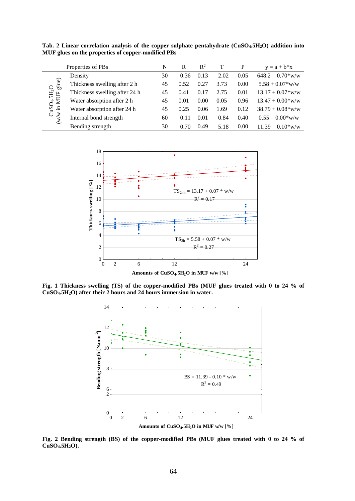**Tab. 2 Linear correlation analysis of the copper sulphate pentahydrate (CuSO4.5H2O) addition into MUF glues on the properties of copper-modified PBs**

| Properties of PBs                                                   |                               | N  | R       | $\mathbb{R}^2$ |         | P    | $y = a + b*x$                  |
|---------------------------------------------------------------------|-------------------------------|----|---------|----------------|---------|------|--------------------------------|
|                                                                     | Density                       | 30 | $-0.36$ | 0.13           | $-2.02$ | 0.05 | $648.2 - 0.70*$ w/w            |
| glue)<br>$CuSO4.5H2O$<br>/w in MUF glu<br>$\widetilde{\mathcal{E}}$ | Thickness swelling after 2 h  | 45 | 0.52    | 0.27           | 3.73    | 0.00 | $5.58 + 0.07$ <sup>*</sup> w/w |
|                                                                     | Thickness swelling after 24 h | 45 | 0.41    | 0.17           | 2.75    | 0.01 | $13.17 + 0.07*$ w/w            |
|                                                                     | Water absorption after 2 h    | 45 | 0.01    | 0.00           | 0.05    | 0.96 | $13.47 + 0.00*$ w/w            |
|                                                                     | Water absorption after 24 h   | 45 | 0.25    | 0.06           | 1.69    | 0.12 | $38.79 + 0.08*$ w/w            |
|                                                                     | Internal bond strength        | 60 | $-0.11$ | 0.01           | $-0.84$ | 0.40 | $0.55 - 0.00*$ w/w             |
|                                                                     | Bending strength              | 30 | $-0.70$ | 0.49           | $-5.18$ | 0.00 | $11.39 - 0.10*$ w/w            |



**Fig. 1 Thickness swelling (TS) of the copper-modified PBs (MUF glues treated with 0 to 24 % of CuSO4.5H2O) after their 2 hours and 24 hours immersion in water.**



**Fig. 2 Bending strength (BS) of the copper-modified PBs (MUF glues treated with 0 to 24 % of CuSO4.5H2O).**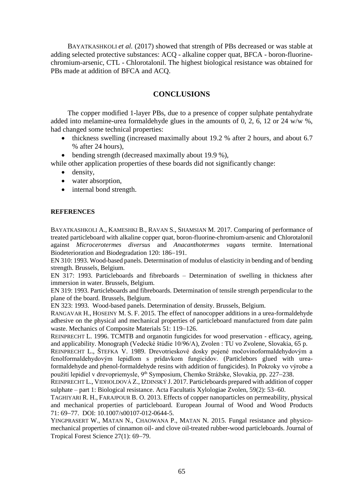BAYATKASHKOLI *et al.* (2017) showed that strength of PBs decreased or was stable at adding selected protective substances: ACQ - alkaline copper quat, BFCA - boron-fluorinechromium-arsenic, CTL - Chlorotalonil. The highest biological resistance was obtained for PBs made at addition of BFCA and ACQ.

# **CONCLUSIONS**

The copper modified 1-layer PBs, due to a presence of copper sulphate pentahydrate added into melamine-urea formaldehyde glues in the amounts of 0, 2, 6, 12 or 24 w/w %, had changed some technical properties:

- thickness swelling (increased maximally about 19.2 % after 2 hours, and about 6.7 % after 24 hours),
- bending strength (decreased maximally about 19.9 %),
- while other application properties of these boards did not significantly change:
	- density,
	- water absorption,
	- internal bond strength.

### **REFERENCES**

BAYATKASHKOLI A., KAMESHKI B., RAVAN S., SHAMSIAN M. 2017. Comparing of performance of treated particleboard with alkaline copper quat, boron-fluorine-chromium-arsenic and Chlorotalonil against *Microcerotermes diversus* and *Anacanthotermes vagans* termite. International Biodeterioration and Biodegradation 120: 186-191.

EN 310: 1993. Wood-based panels. Determination of modulus of elasticity in bending and of bending strength. Brussels, Belgium.

EN 317: 1993. Particleboards and fibreboards – Determination of swelling in thickness after immersion in water. Brussels, Belgium.

EN 319: 1993. Particleboards and fibreboards. Determination of tensile strength perpendicular to the plane of the board. Brussels, Belgium.

EN 323: 1993. Wood-based panels. Determination of density. Brussels, Belgium.

RANGAVAR H., HOSEINY M. S. F. 2015. The effect of nanocopper additions in a urea-formaldehyde adhesive on the physical and mechanical properties of particleboard manufactured from date palm waste. Mechanics of Composite Materials 51: 119-126.

REINPRECHT L. 1996. TCMTB and organotin fungicides for wood preservation - efficacy, ageing, and applicability. Monograph (Vedecké štúdie 10/96/A), Zvolen : TU vo Zvolene, Slovakia, 65 p.

REINPRECHT L., ŠTEFKA V. 1989. Drevotrieskové dosky pojené močovinoformaldehydovým a fenolformaldehydovým lepidlom s prídavkom fungicídov. (Particlebors glued with ureaformaldehyde and phenol-formaldehyde resins with addition of fungicides). In Pokroky vo výrobe a použití lepidiel v drevopriemysle, 9<sup>th</sup> Symposium, Chemko Strážske, Slovakia, pp. 227–238.

REINPRECHT L., VIDHOLDOVÁ Z., IŽDINSKÝ J. 2017. Particleboards prepared with addition of copper sulphate – part 1: Biological resistance. Acta Facultatis Xylologiae Zvolen,  $59(2)$ : 53–60.

TAGHIYARI R. H., FARAJPOUR B. O. 2013. Effects of copper nanoparticles on permeability, physical and mechanical properties of particleboard. European Journal of Wood and Wood Products 71: 69-77. DOI: 10.1007/s00107-012-0644-5.

YINGPRASERT W., MATAN N., CHAOWANA P., MATAN N. 2015. Fungal resistance and physicomechanical properties of cinnamon oil- and clove oil-treated rubber-wood particleboards. Journal of Tropical Forest Science 27(1): 69–79.